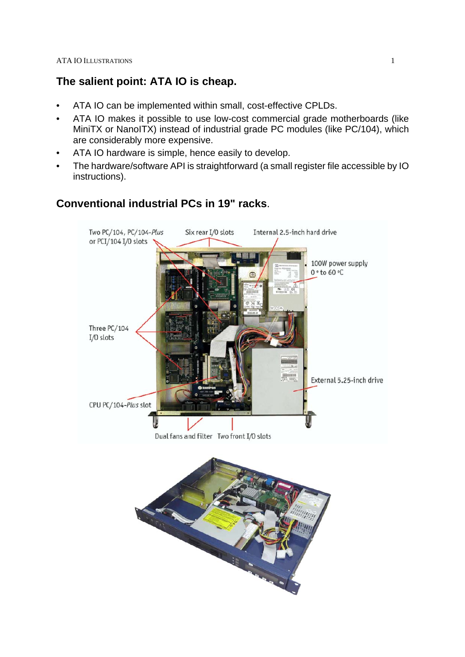### **The salient point: ATA IO is cheap.**

- ATA IO can be implemented within small, cost-effective CPLDs.
- ATA IO makes it possible to use low-cost commercial grade motherboards (like MiniTX or NanoITX) instead of industrial grade PC modules (like PC/104), which are considerably more expensive.
- ATA IO hardware is simple, hence easily to develop.
- The hardware/software API is straightforward (a small register file accessible by IO instructions).

# **Conventional industrial PCs in 19" racks**.

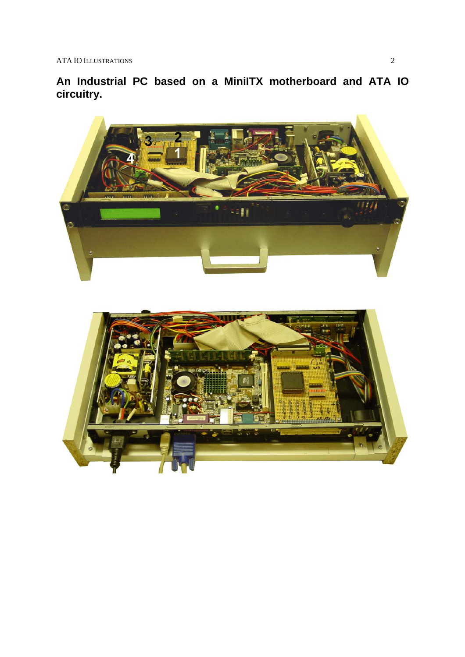**An Industrial PC based on a MiniITX motherboard and ATA IO circuitry.**

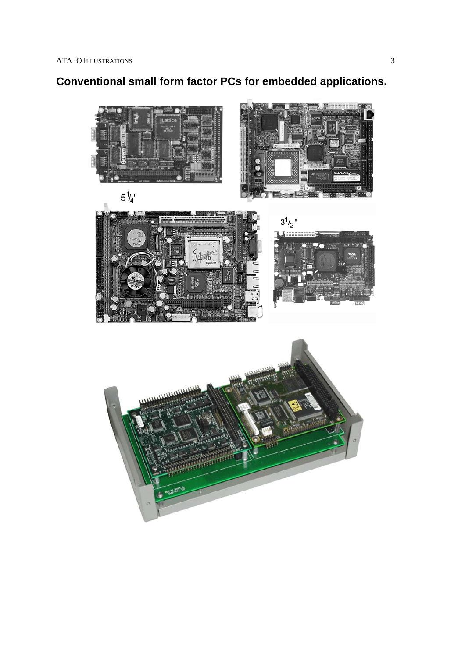# **Conventional small form factor PCs for embedded applications.**









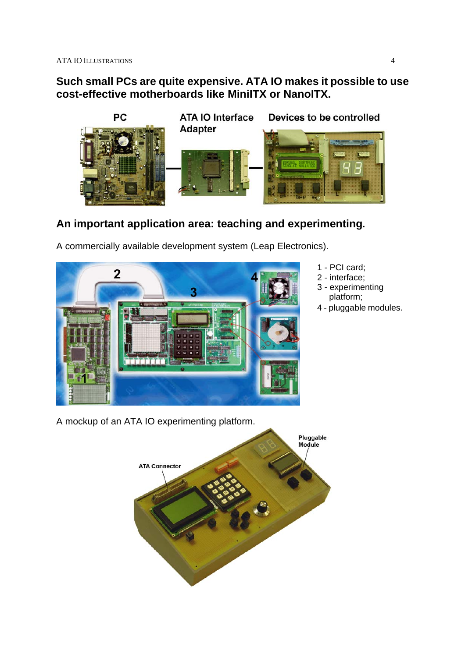### **Such small PCs are quite expensive. ATA IO makes it possible to use cost-effective motherboards like MiniITX or NanoITX.**



# **An important application area: teaching and experimenting.**

A commercially available development system (Leap Electronics).



- 1 PCI card;
- 2 interface;
- 3 experimenting platform;
- 4 pluggable modules.

A mockup of an ATA IO experimenting platform.

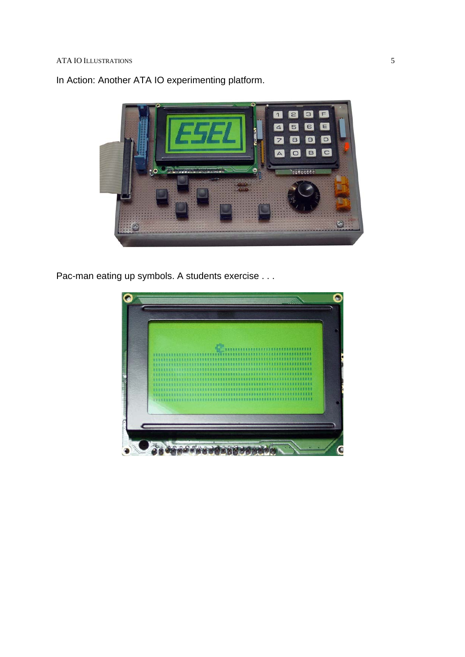

In Action: Another ATA IO experimenting platform.

Pac-man eating up symbols. A students exercise . . .